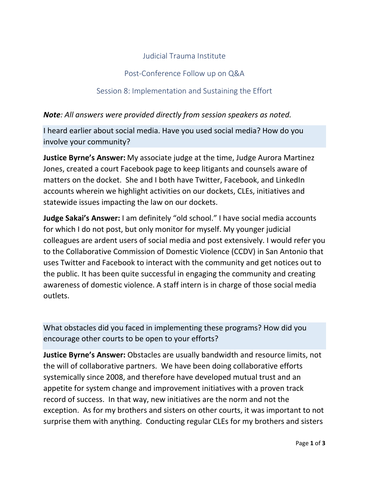## Judicial Trauma Institute

## Post-Conference Follow up on Q&A

## Session 8: Implementation and Sustaining the Effort

## *Note: All answers were provided directly from session speakers as noted.*

I heard earlier about social media. Have you used social media? How do you involve your community?

**Justice Byrne's Answer:** My associate judge at the time, Judge Aurora Martinez Jones, created a court Facebook page to keep litigants and counsels aware of matters on the docket. She and I both have Twitter, Facebook, and LinkedIn accounts wherein we highlight activities on our dockets, CLEs, initiatives and statewide issues impacting the law on our dockets.

**Judge Sakai's Answer:** I am definitely "old school." I have social media accounts for which I do not post, but only monitor for myself. My younger judicial colleagues are ardent users of social media and post extensively. I would refer you to the Collaborative Commission of Domestic Violence (CCDV) in San Antonio that uses Twitter and Facebook to interact with the community and get notices out to the public. It has been quite successful in engaging the community and creating awareness of domestic violence. A staff intern is in charge of those social media outlets.

What obstacles did you faced in implementing these programs? How did you encourage other courts to be open to your efforts?

**Justice Byrne's Answer:** Obstacles are usually bandwidth and resource limits, not the will of collaborative partners. We have been doing collaborative efforts systemically since 2008, and therefore have developed mutual trust and an appetite for system change and improvement initiatives with a proven track record of success. In that way, new initiatives are the norm and not the exception. As for my brothers and sisters on other courts, it was important to not surprise them with anything. Conducting regular CLEs for my brothers and sisters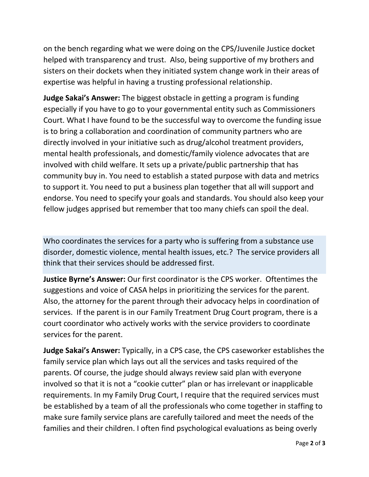on the bench regarding what we were doing on the CPS/Juvenile Justice docket helped with transparency and trust. Also, being supportive of my brothers and sisters on their dockets when they initiated system change work in their areas of expertise was helpful in having a trusting professional relationship.

**Judge Sakai's Answer:** The biggest obstacle in getting a program is funding especially if you have to go to your governmental entity such as Commissioners Court. What I have found to be the successful way to overcome the funding issue is to bring a collaboration and coordination of community partners who are directly involved in your initiative such as drug/alcohol treatment providers, mental health professionals, and domestic/family violence advocates that are involved with child welfare. It sets up a private/public partnership that has community buy in. You need to establish a stated purpose with data and metrics to support it. You need to put a business plan together that all will support and endorse. You need to specify your goals and standards. You should also keep your fellow judges apprised but remember that too many chiefs can spoil the deal.

Who coordinates the services for a party who is suffering from a substance use disorder, domestic violence, mental health issues, etc.? The service providers all think that their services should be addressed first.

**Justice Byrne's Answer:** Our first coordinator is the CPS worker. Oftentimes the suggestions and voice of CASA helps in prioritizing the services for the parent. Also, the attorney for the parent through their advocacy helps in coordination of services. If the parent is in our Family Treatment Drug Court program, there is a court coordinator who actively works with the service providers to coordinate services for the parent.

**Judge Sakai's Answer:** Typically, in a CPS case, the CPS caseworker establishes the family service plan which lays out all the services and tasks required of the parents. Of course, the judge should always review said plan with everyone involved so that it is not a "cookie cutter" plan or has irrelevant or inapplicable requirements. In my Family Drug Court, I require that the required services must be established by a team of all the professionals who come together in staffing to make sure family service plans are carefully tailored and meet the needs of the families and their children. I often find psychological evaluations as being overly